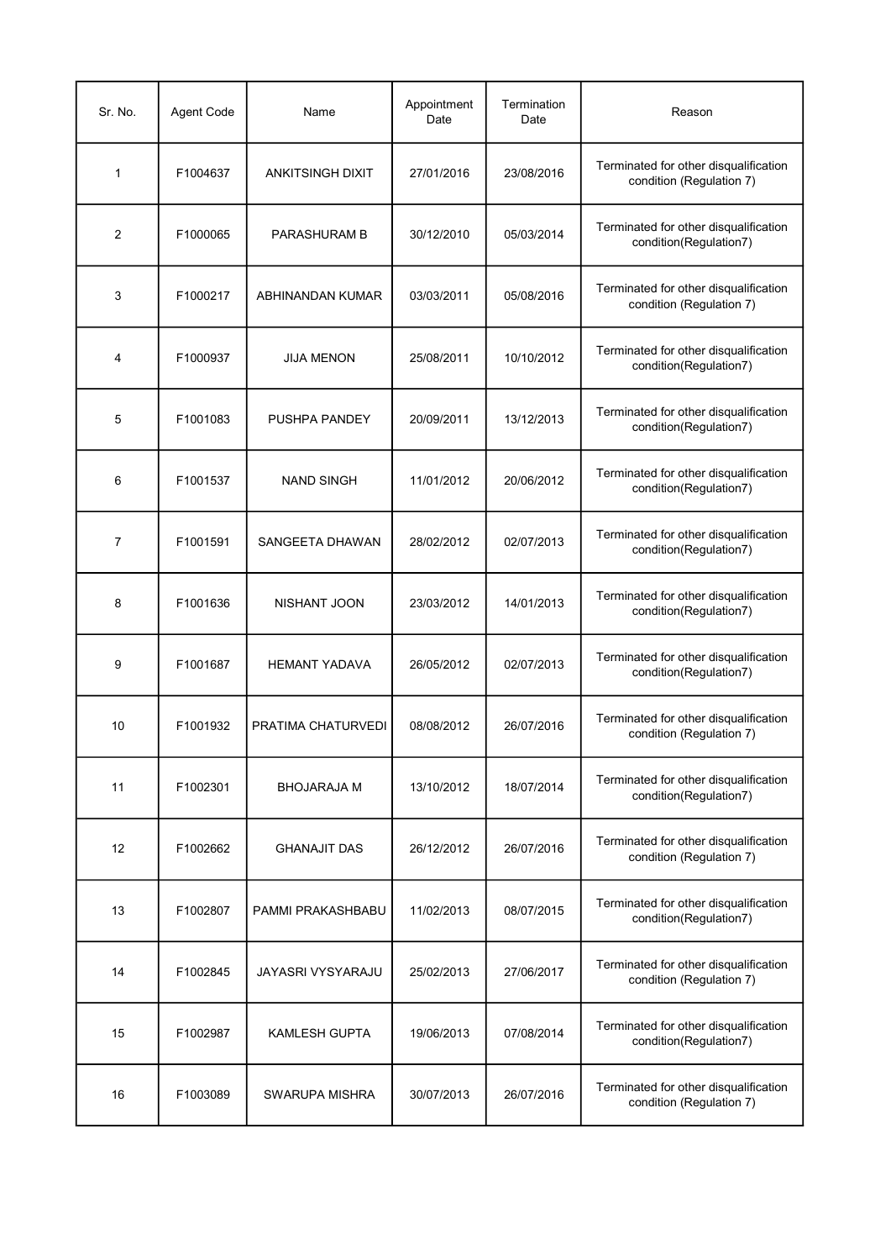| Sr. No. | Agent Code | Name                    | Appointment<br>Date | Termination<br>Date | Reason                                                            |
|---------|------------|-------------------------|---------------------|---------------------|-------------------------------------------------------------------|
| 1       | F1004637   | <b>ANKITSINGH DIXIT</b> | 27/01/2016          | 23/08/2016          | Terminated for other disqualification<br>condition (Regulation 7) |
| 2       | F1000065   | PARASHURAM B            | 30/12/2010          | 05/03/2014          | Terminated for other disqualification<br>condition(Regulation7)   |
| 3       | F1000217   | ABHINANDAN KUMAR        | 03/03/2011          | 05/08/2016          | Terminated for other disqualification<br>condition (Regulation 7) |
| 4       | F1000937   | <b>JIJA MENON</b>       | 25/08/2011          | 10/10/2012          | Terminated for other disqualification<br>condition(Regulation7)   |
| 5       | F1001083   | PUSHPA PANDEY           | 20/09/2011          | 13/12/2013          | Terminated for other disqualification<br>condition(Regulation7)   |
| 6       | F1001537   | <b>NAND SINGH</b>       | 11/01/2012          | 20/06/2012          | Terminated for other disqualification<br>condition(Regulation7)   |
| 7       | F1001591   | SANGEETA DHAWAN         | 28/02/2012          | 02/07/2013          | Terminated for other disqualification<br>condition(Regulation7)   |
| 8       | F1001636   | NISHANT JOON            | 23/03/2012          | 14/01/2013          | Terminated for other disqualification<br>condition(Regulation7)   |
| 9       | F1001687   | <b>HEMANT YADAVA</b>    | 26/05/2012          | 02/07/2013          | Terminated for other disqualification<br>condition(Regulation7)   |
| 10      | F1001932   | PRATIMA CHATURVEDI      | 08/08/2012          | 26/07/2016          | Terminated for other disqualification<br>condition (Regulation 7) |
| 11      | F1002301   | <b>BHOJARAJA M</b>      | 13/10/2012          | 18/07/2014          | Terminated for other disqualification<br>condition(Regulation7)   |
| 12      | F1002662   | <b>GHANAJIT DAS</b>     | 26/12/2012          | 26/07/2016          | Terminated for other disqualification<br>condition (Regulation 7) |
| 13      | F1002807   | PAMMI PRAKASHBABU       | 11/02/2013          | 08/07/2015          | Terminated for other disqualification<br>condition(Regulation7)   |
| 14      | F1002845   | JAYASRI VYSYARAJU       | 25/02/2013          | 27/06/2017          | Terminated for other disqualification<br>condition (Regulation 7) |
| 15      | F1002987   | <b>KAMLESH GUPTA</b>    | 19/06/2013          | 07/08/2014          | Terminated for other disqualification<br>condition(Regulation7)   |
| 16      | F1003089   | SWARUPA MISHRA          | 30/07/2013          | 26/07/2016          | Terminated for other disqualification<br>condition (Regulation 7) |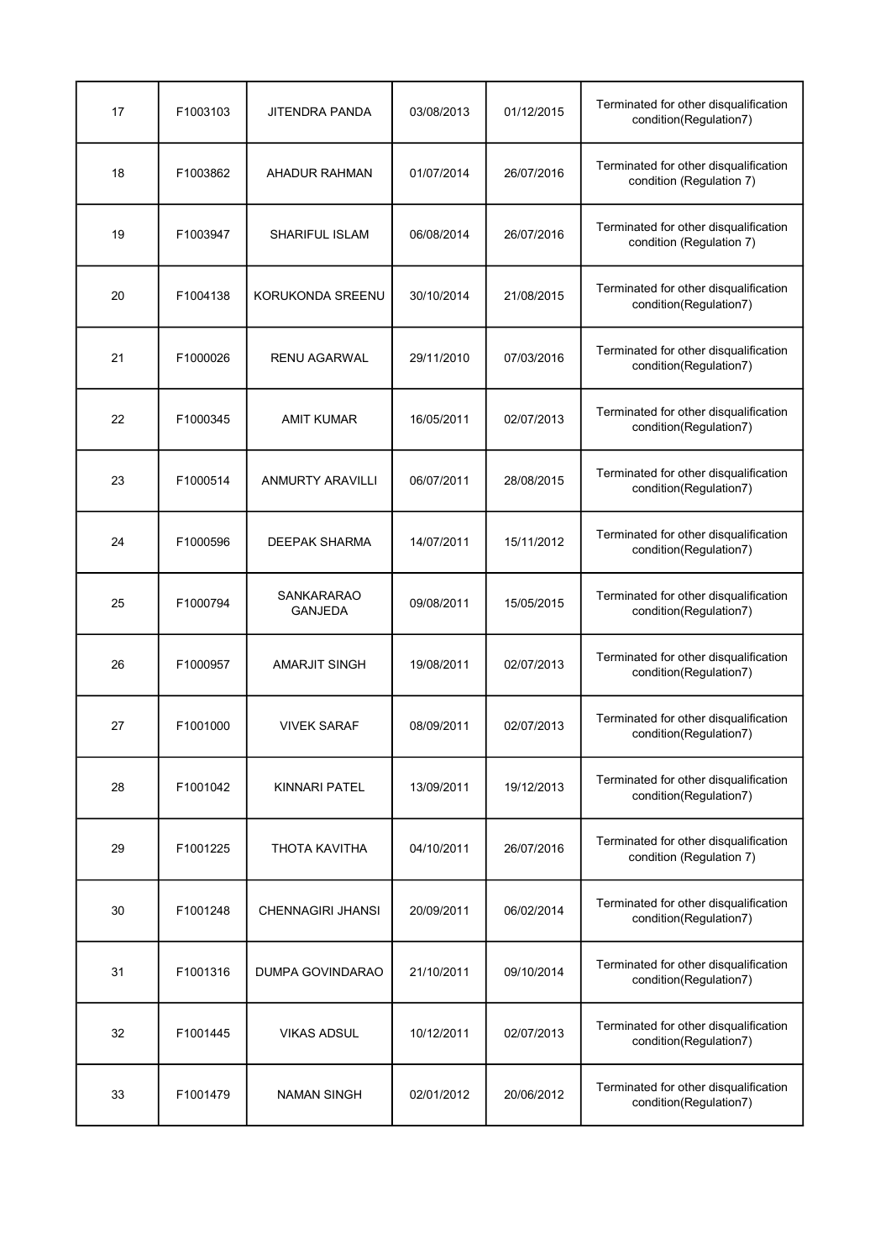| 17 | F1003103 | <b>JITENDRA PANDA</b>        | 03/08/2013 | 01/12/2015 | Terminated for other disqualification<br>condition(Regulation7)   |
|----|----------|------------------------------|------------|------------|-------------------------------------------------------------------|
| 18 | F1003862 | <b>AHADUR RAHMAN</b>         | 01/07/2014 | 26/07/2016 | Terminated for other disqualification<br>condition (Regulation 7) |
| 19 | F1003947 | SHARIFUL ISLAM               | 06/08/2014 | 26/07/2016 | Terminated for other disqualification<br>condition (Regulation 7) |
| 20 | F1004138 | KORUKONDA SREENU             | 30/10/2014 | 21/08/2015 | Terminated for other disqualification<br>condition(Regulation7)   |
| 21 | F1000026 | <b>RENU AGARWAL</b>          | 29/11/2010 | 07/03/2016 | Terminated for other disqualification<br>condition(Regulation7)   |
| 22 | F1000345 | <b>AMIT KUMAR</b>            | 16/05/2011 | 02/07/2013 | Terminated for other disqualification<br>condition(Regulation7)   |
| 23 | F1000514 | <b>ANMURTY ARAVILLI</b>      | 06/07/2011 | 28/08/2015 | Terminated for other disqualification<br>condition(Regulation7)   |
| 24 | F1000596 | <b>DEEPAK SHARMA</b>         | 14/07/2011 | 15/11/2012 | Terminated for other disqualification<br>condition(Regulation7)   |
| 25 | F1000794 | SANKARARAO<br><b>GANJEDA</b> | 09/08/2011 | 15/05/2015 | Terminated for other disqualification<br>condition(Regulation7)   |
| 26 | F1000957 | <b>AMARJIT SINGH</b>         | 19/08/2011 | 02/07/2013 | Terminated for other disqualification<br>condition(Regulation7)   |
| 27 | F1001000 | <b>VIVEK SARAF</b>           | 08/09/2011 | 02/07/2013 | Terminated for other disqualification<br>condition(Regulation7)   |
| 28 | F1001042 | <b>KINNARI PATEL</b>         | 13/09/2011 | 19/12/2013 | Terminated for other disqualification<br>condition(Regulation7)   |
| 29 | F1001225 | THOTA KAVITHA                | 04/10/2011 | 26/07/2016 | Terminated for other disqualification<br>condition (Regulation 7) |
| 30 | F1001248 | <b>CHENNAGIRI JHANSI</b>     | 20/09/2011 | 06/02/2014 | Terminated for other disqualification<br>condition(Regulation7)   |
| 31 | F1001316 | DUMPA GOVINDARAO             | 21/10/2011 | 09/10/2014 | Terminated for other disqualification<br>condition(Regulation7)   |
| 32 | F1001445 | <b>VIKAS ADSUL</b>           | 10/12/2011 | 02/07/2013 | Terminated for other disqualification<br>condition(Regulation7)   |
| 33 | F1001479 | NAMAN SINGH                  | 02/01/2012 | 20/06/2012 | Terminated for other disqualification<br>condition(Regulation7)   |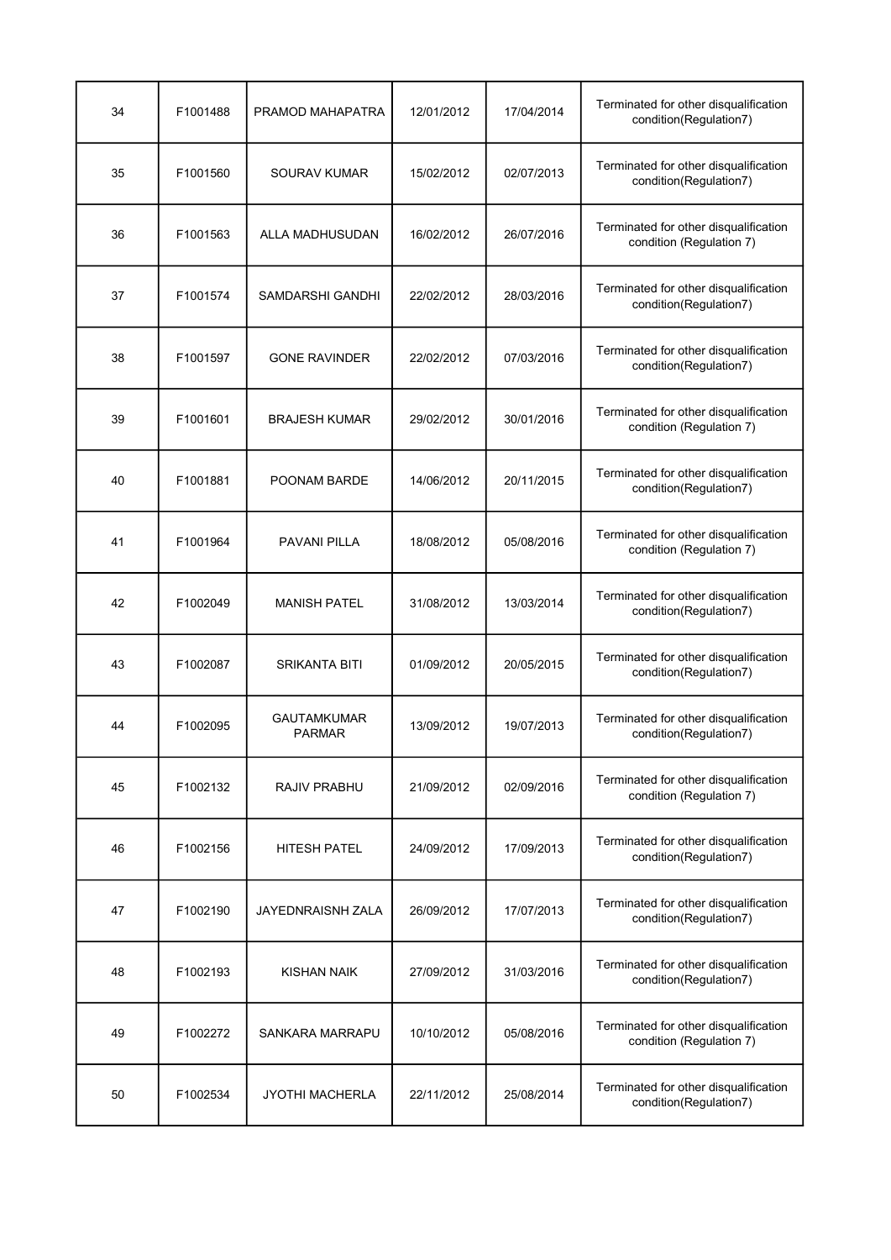| 34 | F1001488 | PRAMOD MAHAPATRA                    | 12/01/2012 | 17/04/2014 | Terminated for other disqualification<br>condition(Regulation7)   |
|----|----------|-------------------------------------|------------|------------|-------------------------------------------------------------------|
| 35 | F1001560 | SOURAV KUMAR                        | 15/02/2012 | 02/07/2013 | Terminated for other disqualification<br>condition(Regulation7)   |
| 36 | F1001563 | ALLA MADHUSUDAN                     | 16/02/2012 | 26/07/2016 | Terminated for other disqualification<br>condition (Regulation 7) |
| 37 | F1001574 | SAMDARSHI GANDHI                    | 22/02/2012 | 28/03/2016 | Terminated for other disqualification<br>condition(Regulation7)   |
| 38 | F1001597 | <b>GONE RAVINDER</b>                | 22/02/2012 | 07/03/2016 | Terminated for other disqualification<br>condition(Regulation7)   |
| 39 | F1001601 | <b>BRAJESH KUMAR</b>                | 29/02/2012 | 30/01/2016 | Terminated for other disqualification<br>condition (Regulation 7) |
| 40 | F1001881 | POONAM BARDE                        | 14/06/2012 | 20/11/2015 | Terminated for other disqualification<br>condition(Regulation7)   |
| 41 | F1001964 | <b>PAVANI PILLA</b>                 | 18/08/2012 | 05/08/2016 | Terminated for other disqualification<br>condition (Regulation 7) |
| 42 | F1002049 | <b>MANISH PATEL</b>                 | 31/08/2012 | 13/03/2014 | Terminated for other disqualification<br>condition(Regulation7)   |
| 43 | F1002087 | <b>SRIKANTA BITI</b>                | 01/09/2012 | 20/05/2015 | Terminated for other disqualification<br>condition(Regulation7)   |
| 44 | F1002095 | <b>GAUTAMKUMAR</b><br><b>PARMAR</b> | 13/09/2012 | 19/07/2013 | Terminated for other disqualification<br>condition(Regulation7)   |
| 45 | F1002132 | RAJIV PRABHU                        | 21/09/2012 | 02/09/2016 | Terminated for other disqualification<br>condition (Regulation 7) |
| 46 | F1002156 | <b>HITESH PATEL</b>                 | 24/09/2012 | 17/09/2013 | Terminated for other disqualification<br>condition(Regulation7)   |
| 47 | F1002190 | <b>JAYEDNRAISNH ZALA</b>            | 26/09/2012 | 17/07/2013 | Terminated for other disqualification<br>condition(Regulation7)   |
| 48 | F1002193 | KISHAN NAIK                         | 27/09/2012 | 31/03/2016 | Terminated for other disqualification<br>condition(Regulation7)   |
| 49 | F1002272 | SANKARA MARRAPU                     | 10/10/2012 | 05/08/2016 | Terminated for other disqualification<br>condition (Regulation 7) |
| 50 | F1002534 | <b>JYOTHI MACHERLA</b>              | 22/11/2012 | 25/08/2014 | Terminated for other disqualification<br>condition(Regulation7)   |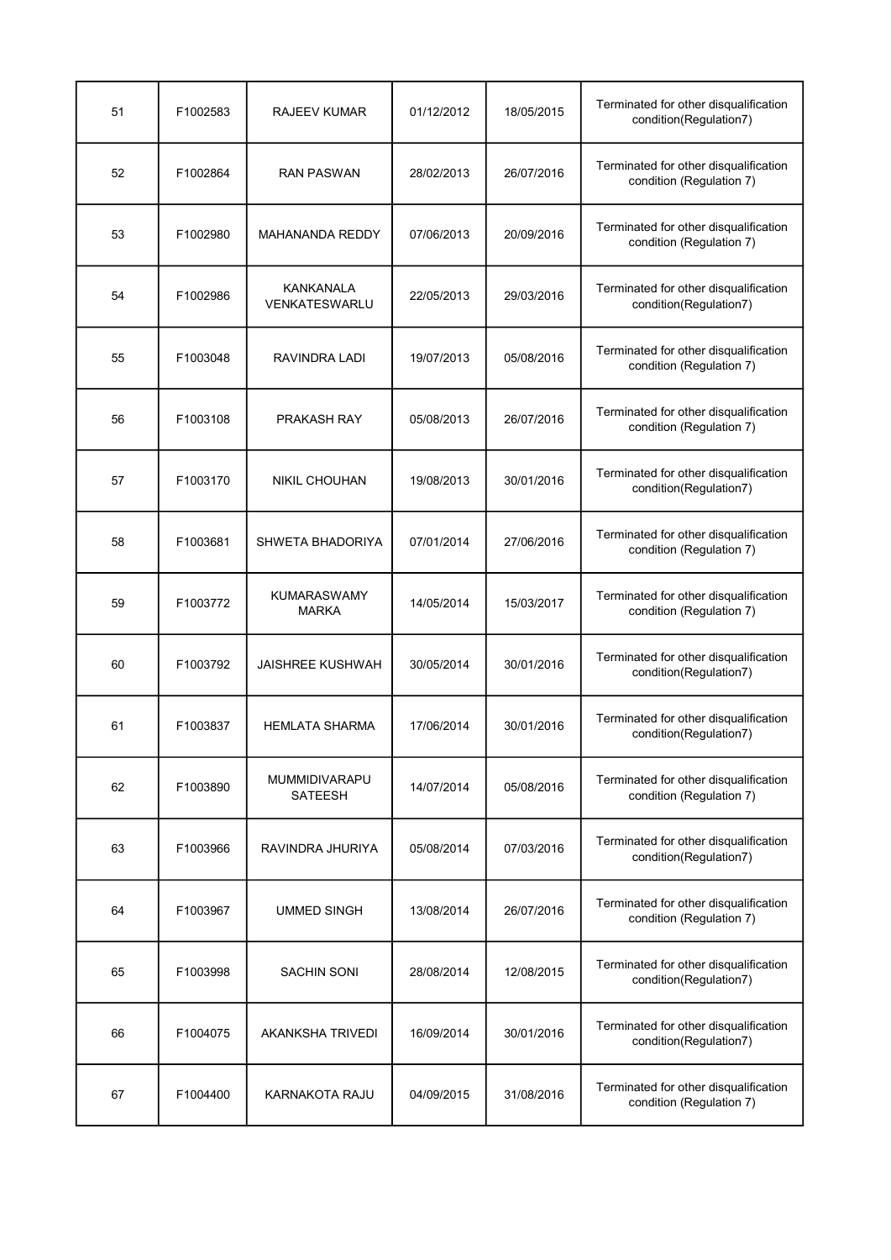| 51 | F1002583 | RAJEEV KUMAR                             | 01/12/2012 | 18/05/2015 | Terminated for other disqualification<br>condition(Regulation7)   |
|----|----------|------------------------------------------|------------|------------|-------------------------------------------------------------------|
| 52 | F1002864 | <b>RAN PASWAN</b>                        | 28/02/2013 | 26/07/2016 | Terminated for other disqualification<br>condition (Regulation 7) |
| 53 | F1002980 | <b>MAHANANDA REDDY</b>                   | 07/06/2013 | 20/09/2016 | Terminated for other disqualification<br>condition (Regulation 7) |
| 54 | F1002986 | <b>KANKANALA</b><br><b>VENKATESWARLU</b> | 22/05/2013 | 29/03/2016 | Terminated for other disqualification<br>condition(Regulation7)   |
| 55 | F1003048 | RAVINDRA LADI                            | 19/07/2013 | 05/08/2016 | Terminated for other disqualification<br>condition (Regulation 7) |
| 56 | F1003108 | PRAKASH RAY                              | 05/08/2013 | 26/07/2016 | Terminated for other disqualification<br>condition (Regulation 7) |
| 57 | F1003170 | <b>NIKIL CHOUHAN</b>                     | 19/08/2013 | 30/01/2016 | Terminated for other disqualification<br>condition(Regulation7)   |
| 58 | F1003681 | SHWETA BHADORIYA                         | 07/01/2014 | 27/06/2016 | Terminated for other disqualification<br>condition (Regulation 7) |
| 59 | F1003772 | <b>KUMARASWAMY</b><br><b>MARKA</b>       | 14/05/2014 | 15/03/2017 | Terminated for other disqualification<br>condition (Regulation 7) |
| 60 | F1003792 | <b>JAISHREE KUSHWAH</b>                  | 30/05/2014 | 30/01/2016 | Terminated for other disqualification<br>condition(Regulation7)   |
| 61 | F1003837 | <b>HEMLATA SHARMA</b>                    | 17/06/2014 | 30/01/2016 | Terminated for other disqualification<br>condition(Regulation7)   |
| 62 | F1003890 | <b>MUMMIDIVARAPU</b><br>SATEESH          | 14/07/2014 | 05/08/2016 | Terminated for other disqualification<br>condition (Regulation 7) |
| 63 | F1003966 | RAVINDRA JHURIYA                         | 05/08/2014 | 07/03/2016 | Terminated for other disqualification<br>condition(Regulation7)   |
| 64 | F1003967 | <b>UMMED SINGH</b>                       | 13/08/2014 | 26/07/2016 | Terminated for other disqualification<br>condition (Regulation 7) |
| 65 | F1003998 | <b>SACHIN SONI</b>                       | 28/08/2014 | 12/08/2015 | Terminated for other disqualification<br>condition(Regulation7)   |
| 66 | F1004075 | <b>AKANKSHA TRIVEDI</b>                  | 16/09/2014 | 30/01/2016 | Terminated for other disqualification<br>condition(Regulation7)   |
| 67 | F1004400 | KARNAKOTA RAJU                           | 04/09/2015 | 31/08/2016 | Terminated for other disqualification<br>condition (Regulation 7) |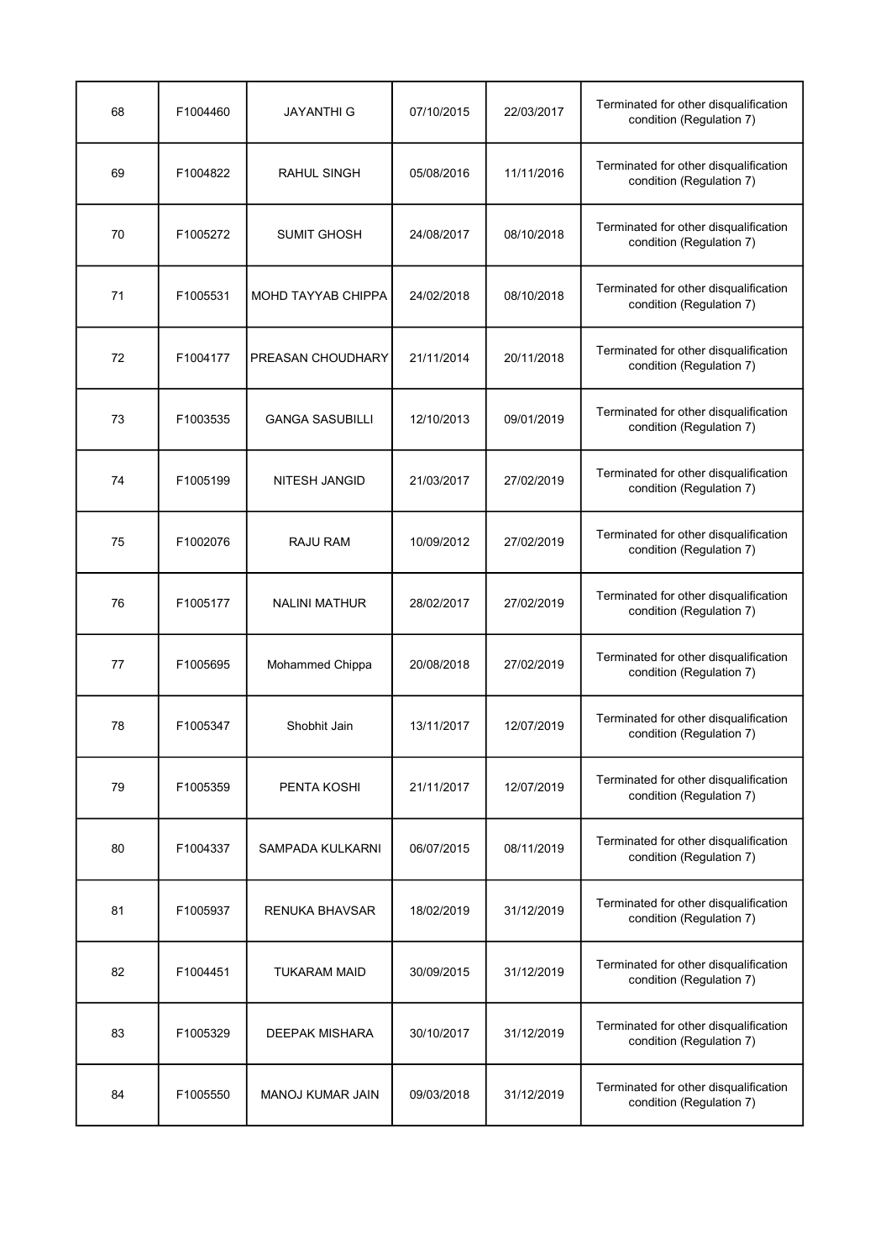| 68 | F1004460 | JAYANTHI G                | 07/10/2015 | 22/03/2017 | Terminated for other disqualification<br>condition (Regulation 7) |
|----|----------|---------------------------|------------|------------|-------------------------------------------------------------------|
| 69 | F1004822 | RAHUL SINGH               | 05/08/2016 | 11/11/2016 | Terminated for other disqualification<br>condition (Regulation 7) |
| 70 | F1005272 | <b>SUMIT GHOSH</b>        | 24/08/2017 | 08/10/2018 | Terminated for other disqualification<br>condition (Regulation 7) |
| 71 | F1005531 | <b>MOHD TAYYAB CHIPPA</b> | 24/02/2018 | 08/10/2018 | Terminated for other disqualification<br>condition (Regulation 7) |
| 72 | F1004177 | PREASAN CHOUDHARY         | 21/11/2014 | 20/11/2018 | Terminated for other disqualification<br>condition (Regulation 7) |
| 73 | F1003535 | <b>GANGA SASUBILLI</b>    | 12/10/2013 | 09/01/2019 | Terminated for other disqualification<br>condition (Regulation 7) |
| 74 | F1005199 | <b>NITESH JANGID</b>      | 21/03/2017 | 27/02/2019 | Terminated for other disqualification<br>condition (Regulation 7) |
| 75 | F1002076 | <b>RAJU RAM</b>           | 10/09/2012 | 27/02/2019 | Terminated for other disqualification<br>condition (Regulation 7) |
| 76 | F1005177 | <b>NALINI MATHUR</b>      | 28/02/2017 | 27/02/2019 | Terminated for other disqualification<br>condition (Regulation 7) |
| 77 | F1005695 | Mohammed Chippa           | 20/08/2018 | 27/02/2019 | Terminated for other disqualification<br>condition (Regulation 7) |
| 78 | F1005347 | Shobhit Jain              | 13/11/2017 | 12/07/2019 | Terminated for other disqualification<br>condition (Regulation 7) |
| 79 | F1005359 | PENTA KOSHI               | 21/11/2017 | 12/07/2019 | Terminated for other disqualification<br>condition (Regulation 7) |
| 80 | F1004337 | SAMPADA KULKARNI          | 06/07/2015 | 08/11/2019 | Terminated for other disqualification<br>condition (Regulation 7) |
| 81 | F1005937 | <b>RENUKA BHAVSAR</b>     | 18/02/2019 | 31/12/2019 | Terminated for other disqualification<br>condition (Regulation 7) |
| 82 | F1004451 | <b>TUKARAM MAID</b>       | 30/09/2015 | 31/12/2019 | Terminated for other disqualification<br>condition (Regulation 7) |
| 83 | F1005329 | <b>DEEPAK MISHARA</b>     | 30/10/2017 | 31/12/2019 | Terminated for other disqualification<br>condition (Regulation 7) |
| 84 | F1005550 | <b>MANOJ KUMAR JAIN</b>   | 09/03/2018 | 31/12/2019 | Terminated for other disqualification<br>condition (Regulation 7) |